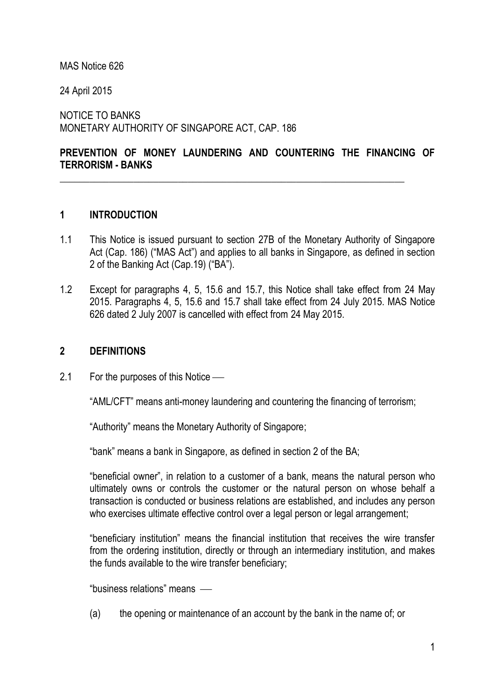### MAS Notice 626

24 April 2015

NOTICE TO BANKS MONETARY AUTHORITY OF SINGAPORE ACT, CAP. 186

## **PREVENTION OF MONEY LAUNDERING AND COUNTERING THE FINANCING OF TERRORISM - BANKS**

\_\_\_\_\_\_\_\_\_\_\_\_\_\_\_\_\_\_\_\_\_\_\_\_\_\_\_\_\_\_\_\_\_\_\_\_\_\_\_\_\_\_\_\_\_\_\_\_\_\_\_\_\_\_\_\_\_\_\_\_\_\_\_\_\_\_\_\_\_\_

## **1 INTRODUCTION**

- 1.1 This Notice is issued pursuant to section 27B of the Monetary Authority of Singapore Act (Cap. 186) ("MAS Act") and applies to all banks in Singapore, as defined in section 2 of the Banking Act (Cap.19) ("BA").
- 1.2 Except for paragraphs 4, 5, 15.6 and 15.7, this Notice shall take effect from 24 May 2015. Paragraphs 4, 5, 15.6 and 15.7 shall take effect from 24 July 2015. MAS Notice 626 dated 2 July 2007 is cancelled with effect from 24 May 2015.

## **2 DEFINITIONS**

2.1 For the purposes of this Notice —

"AML/CFT" means anti-money laundering and countering the financing of terrorism;

"Authority" means the Monetary Authority of Singapore;

"bank" means a bank in Singapore, as defined in section 2 of the BA;

"beneficial owner", in relation to a customer of a bank, means the natural person who ultimately owns or controls the customer or the natural person on whose behalf a transaction is conducted or business relations are established, and includes any person who exercises ultimate effective control over a legal person or legal arrangement;

"beneficiary institution" means the financial institution that receives the wire transfer from the ordering institution, directly or through an intermediary institution, and makes the funds available to the wire transfer beneficiary;

"business relations" means

(a) the opening or maintenance of an account by the bank in the name of; or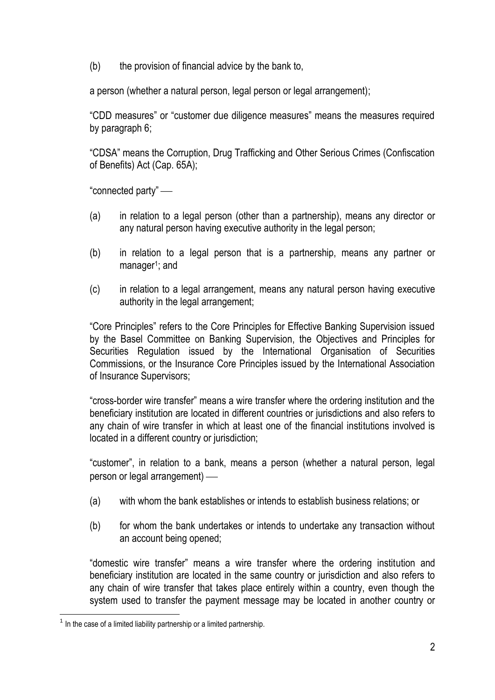(b) the provision of financial advice by the bank to,

a person (whether a natural person, legal person or legal arrangement);

"CDD measures" or "customer due diligence measures" means the measures required by paragraph 6;

"CDSA" means the Corruption, Drug Trafficking and Other Serious Crimes (Confiscation of Benefits) Act (Cap. 65A);

"connected party"

- (a) in relation to a legal person (other than a partnership), means any director or any natural person having executive authority in the legal person;
- (b) in relation to a legal person that is a partnership, means any partner or manager<sup>1</sup>; and
- (c) in relation to a legal arrangement, means any natural person having executive authority in the legal arrangement;

"Core Principles" refers to the Core Principles for Effective Banking Supervision issued by the Basel Committee on Banking Supervision, the Objectives and Principles for Securities Regulation issued by the International Organisation of Securities Commissions, or the Insurance Core Principles issued by the International Association of Insurance Supervisors;

"cross-border wire transfer" means a wire transfer where the ordering institution and the beneficiary institution are located in different countries or jurisdictions and also refers to any chain of wire transfer in which at least one of the financial institutions involved is located in a different country or jurisdiction;

"customer", in relation to a bank, means a person (whether a natural person, legal person or legal arrangement)

- (a) with whom the bank establishes or intends to establish business relations; or
- (b) for whom the bank undertakes or intends to undertake any transaction without an account being opened;

"domestic wire transfer" means a wire transfer where the ordering institution and beneficiary institution are located in the same country or jurisdiction and also refers to any chain of wire transfer that takes place entirely within a country, even though the system used to transfer the payment message may be located in another country or

<sup>1</sup>  $1$  In the case of a limited liability partnership or a limited partnership.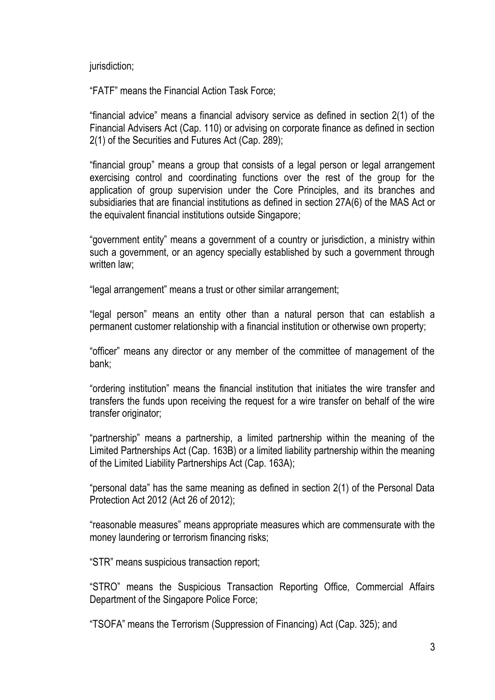jurisdiction;

"FATF" means the Financial Action Task Force;

"financial advice" means a financial advisory service as defined in section 2(1) of the Financial Advisers Act (Cap. 110) or advising on corporate finance as defined in section 2(1) of the Securities and Futures Act (Cap. 289);

"financial group" means a group that consists of a legal person or legal arrangement exercising control and coordinating functions over the rest of the group for the application of group supervision under the Core Principles, and its branches and subsidiaries that are financial institutions as defined in section 27A(6) of the MAS Act or the equivalent financial institutions outside Singapore;

"government entity" means a government of a country or jurisdiction, a ministry within such a government, or an agency specially established by such a government through written law:

"legal arrangement" means a trust or other similar arrangement;

"legal person" means an entity other than a natural person that can establish a permanent customer relationship with a financial institution or otherwise own property;

"officer" means any director or any member of the committee of management of the bank;

"ordering institution" means the financial institution that initiates the wire transfer and transfers the funds upon receiving the request for a wire transfer on behalf of the wire transfer originator;

"partnership" means a partnership, a limited partnership within the meaning of the Limited Partnerships Act (Cap. 163B) or a limited liability partnership within the meaning of the Limited Liability Partnerships Act (Cap. 163A);

"personal data" has the same meaning as defined in section 2(1) of the Personal Data Protection Act 2012 (Act 26 of 2012);

"reasonable measures" means appropriate measures which are commensurate with the money laundering or terrorism financing risks;

"STR" means suspicious transaction report;

"STRO" means the Suspicious Transaction Reporting Office, Commercial Affairs Department of the Singapore Police Force;

"TSOFA" means the Terrorism (Suppression of Financing) Act (Cap. 325); and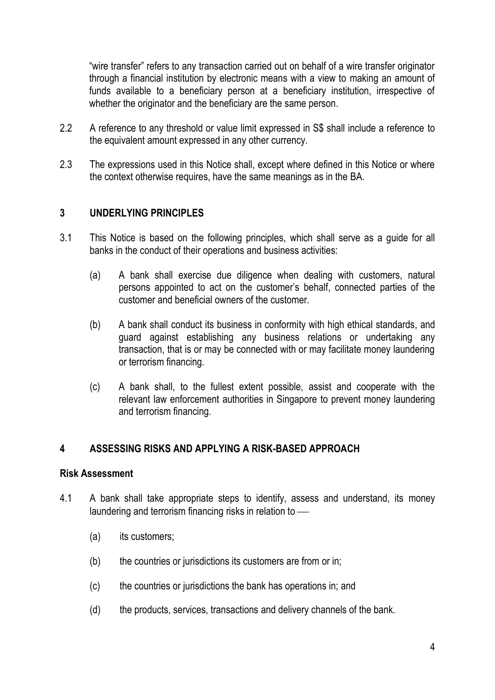"wire transfer" refers to any transaction carried out on behalf of a wire transfer originator through a financial institution by electronic means with a view to making an amount of funds available to a beneficiary person at a beneficiary institution, irrespective of whether the originator and the beneficiary are the same person.

- 2.2 A reference to any threshold or value limit expressed in S\$ shall include a reference to the equivalent amount expressed in any other currency.
- 2.3 The expressions used in this Notice shall, except where defined in this Notice or where the context otherwise requires, have the same meanings as in the BA.

## **3 UNDERLYING PRINCIPLES**

- 3.1 This Notice is based on the following principles, which shall serve as a guide for all banks in the conduct of their operations and business activities:
	- (a) A bank shall exercise due diligence when dealing with customers, natural persons appointed to act on the customer's behalf, connected parties of the customer and beneficial owners of the customer.
	- (b) A bank shall conduct its business in conformity with high ethical standards, and guard against establishing any business relations or undertaking any transaction, that is or may be connected with or may facilitate money laundering or terrorism financing.
	- (c) A bank shall, to the fullest extent possible, assist and cooperate with the relevant law enforcement authorities in Singapore to prevent money laundering and terrorism financing.

## **4 ASSESSING RISKS AND APPLYING A RISK-BASED APPROACH**

#### **Risk Assessment**

- 4.1 A bank shall take appropriate steps to identify, assess and understand, its money laundering and terrorism financing risks in relation to
	- (a) its customers;
	- (b) the countries or jurisdictions its customers are from or in;
	- (c) the countries or jurisdictions the bank has operations in; and
	- (d) the products, services, transactions and delivery channels of the bank.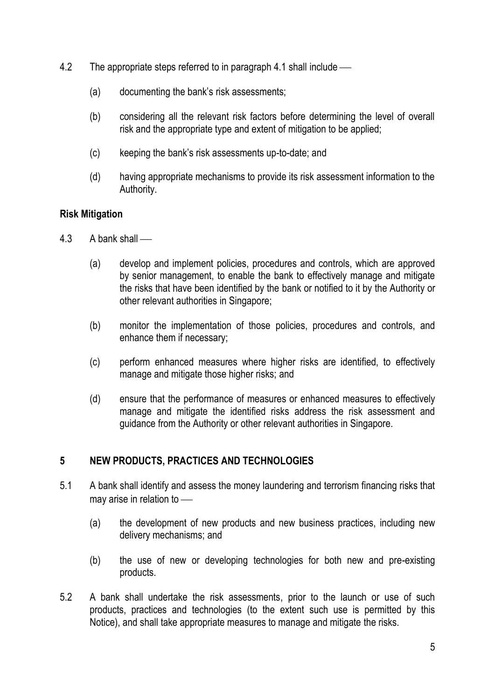- 4.2 The appropriate steps referred to in paragraph 4.1 shall include
	- (a) documenting the bank's risk assessments;
	- (b) considering all the relevant risk factors before determining the level of overall risk and the appropriate type and extent of mitigation to be applied;
	- (c) keeping the bank's risk assessments up-to-date; and
	- (d) having appropriate mechanisms to provide its risk assessment information to the Authority.

## **Risk Mitigation**

- 4.3 A bank shall
	- (a) develop and implement policies, procedures and controls, which are approved by senior management, to enable the bank to effectively manage and mitigate the risks that have been identified by the bank or notified to it by the Authority or other relevant authorities in Singapore;
	- (b) monitor the implementation of those policies, procedures and controls, and enhance them if necessary;
	- (c) perform enhanced measures where higher risks are identified, to effectively manage and mitigate those higher risks; and
	- (d) ensure that the performance of measures or enhanced measures to effectively manage and mitigate the identified risks address the risk assessment and guidance from the Authority or other relevant authorities in Singapore.

## **5 NEW PRODUCTS, PRACTICES AND TECHNOLOGIES**

- 5.1 A bank shall identify and assess the money laundering and terrorism financing risks that may arise in relation to
	- (a) the development of new products and new business practices, including new delivery mechanisms; and
	- (b) the use of new or developing technologies for both new and pre-existing products.
- 5.2 A bank shall undertake the risk assessments, prior to the launch or use of such products, practices and technologies (to the extent such use is permitted by this Notice), and shall take appropriate measures to manage and mitigate the risks.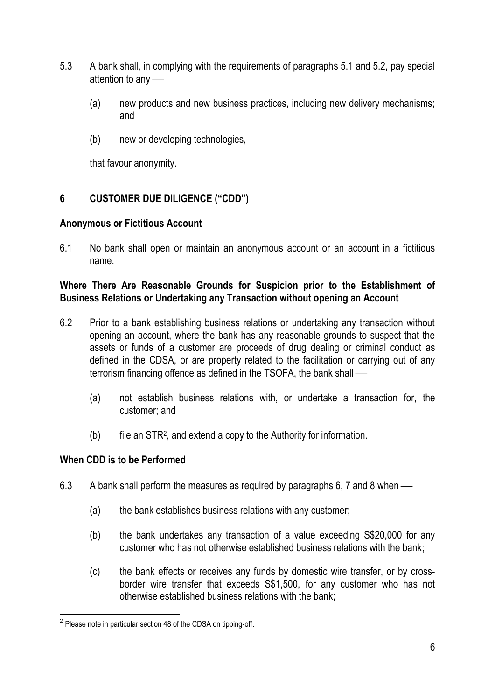- 5.3 A bank shall, in complying with the requirements of paragraphs 5.1 and 5.2, pay special attention to any
	- (a) new products and new business practices, including new delivery mechanisms; and
	- (b) new or developing technologies,

that favour anonymity.

## **6 CUSTOMER DUE DILIGENCE ("CDD")**

## **Anonymous or Fictitious Account**

6.1 No bank shall open or maintain an anonymous account or an account in a fictitious name.

## **Where There Are Reasonable Grounds for Suspicion prior to the Establishment of Business Relations or Undertaking any Transaction without opening an Account**

- 6.2 Prior to a bank establishing business relations or undertaking any transaction without opening an account, where the bank has any reasonable grounds to suspect that the assets or funds of a customer are proceeds of drug dealing or criminal conduct as defined in the CDSA, or are property related to the facilitation or carrying out of any terrorism financing offence as defined in the TSOFA, the bank shall
	- (a) not establish business relations with, or undertake a transaction for, the customer; and
	- (b) file an STR<sup>2</sup> , and extend a copy to the Authority for information.

## **When CDD is to be Performed**

- 6.3 A bank shall perform the measures as required by paragraphs 6, 7 and 8 when
	- (a) the bank establishes business relations with any customer;
	- (b) the bank undertakes any transaction of a value exceeding S\$20,000 for any customer who has not otherwise established business relations with the bank;
	- (c) the bank effects or receives any funds by domestic wire transfer, or by crossborder wire transfer that exceeds S\$1,500, for any customer who has not otherwise established business relations with the bank;

 2 Please note in particular section 48 of the CDSA on tipping-off.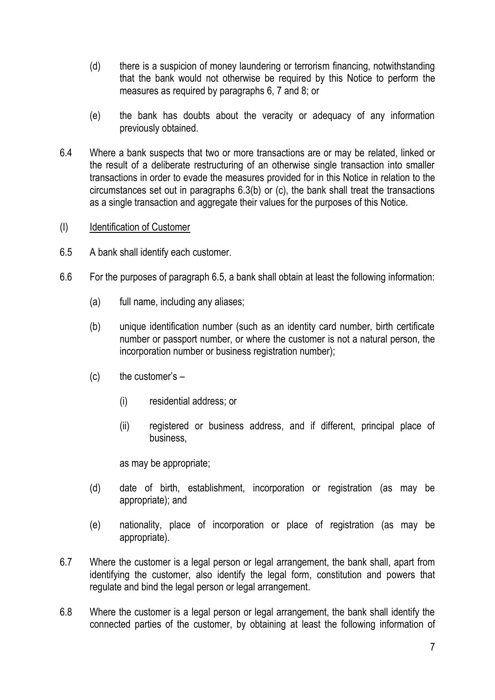- (d) there is a suspicion of money laundering or terrorism financing, notwithstanding that the bank would not otherwise be required by this Notice to perform the measures as required by paragraphs 6, 7 and 8; or
- (e) the bank has doubts about the veracity or adequacy of any information previously obtained.
- 6.4 Where a bank suspects that two or more transactions are or may be related, linked or the result of a deliberate restructuring of an otherwise single transaction into smaller transactions in order to evade the measures provided for in this Notice in relation to the circumstances set out in paragraphs 6.3(b) or (c), the bank shall treat the transactions as a single transaction and aggregate their values for the purposes of this Notice.
- (I) Identification of Customer
- 6.5 A bank shall identify each customer.
- 6.6 For the purposes of paragraph 6.5, a bank shall obtain at least the following information:
	- (a) full name, including any aliases;
	- (b) unique identification number (such as an identity card number, birth certificate number or passport number, or where the customer is not a natural person, the incorporation number or business registration number);
	- $(c)$  the customer's  $-$ 
		- (i) residential address; or
		- (ii) registered or business address, and if different, principal place of business,

as may be appropriate;

- (d) date of birth, establishment, incorporation or registration (as may be appropriate); and
- (e) nationality, place of incorporation or place of registration (as may be appropriate).
- 6.7 Where the customer is a legal person or legal arrangement, the bank shall, apart from identifying the customer, also identify the legal form, constitution and powers that regulate and bind the legal person or legal arrangement.
- 6.8 Where the customer is a legal person or legal arrangement, the bank shall identify the connected parties of the customer, by obtaining at least the following information of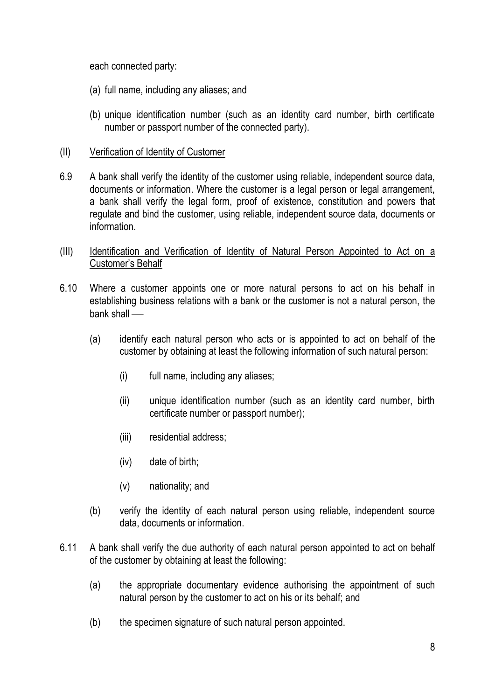each connected party:

- (a) full name, including any aliases; and
- (b) unique identification number (such as an identity card number, birth certificate number or passport number of the connected party).
- (II) Verification of Identity of Customer
- 6.9 A bank shall verify the identity of the customer using reliable, independent source data, documents or information. Where the customer is a legal person or legal arrangement, a bank shall verify the legal form, proof of existence, constitution and powers that regulate and bind the customer, using reliable, independent source data, documents or information.
- (III) Identification and Verification of Identity of Natural Person Appointed to Act on a Customer's Behalf
- 6.10 Where a customer appoints one or more natural persons to act on his behalf in establishing business relations with a bank or the customer is not a natural person, the bank shall
	- (a) identify each natural person who acts or is appointed to act on behalf of the customer by obtaining at least the following information of such natural person:
		- (i) full name, including any aliases;
		- (ii) unique identification number (such as an identity card number, birth certificate number or passport number);
		- (iii) residential address;
		- (iv) date of birth;
		- (v) nationality; and
	- (b) verify the identity of each natural person using reliable, independent source data, documents or information.
- 6.11 A bank shall verify the due authority of each natural person appointed to act on behalf of the customer by obtaining at least the following:
	- (a) the appropriate documentary evidence authorising the appointment of such natural person by the customer to act on his or its behalf; and
	- (b) the specimen signature of such natural person appointed.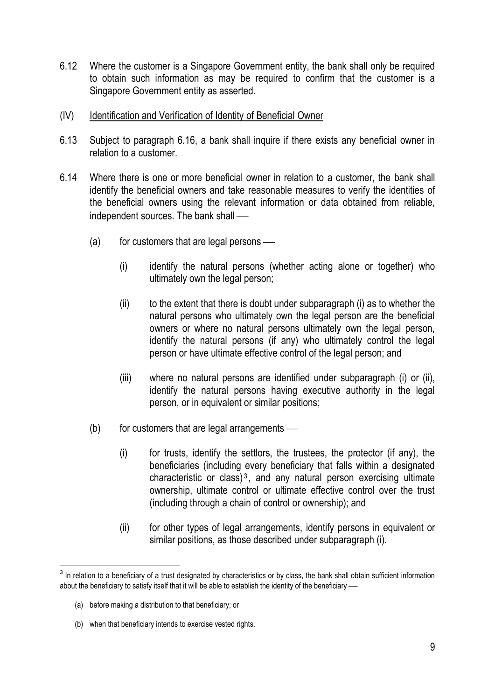- 6.12 Where the customer is a Singapore Government entity, the bank shall only be required to obtain such information as may be required to confirm that the customer is a Singapore Government entity as asserted.
- (IV) Identification and Verification of Identity of Beneficial Owner
- 6.13 Subject to paragraph 6.16, a bank shall inquire if there exists any beneficial owner in relation to a customer.
- 6.14 Where there is one or more beneficial owner in relation to a customer, the bank shall identify the beneficial owners and take reasonable measures to verify the identities of the beneficial owners using the relevant information or data obtained from reliable, independent sources. The bank shall
	- $(a)$  for customers that are legal persons
		- (i) identify the natural persons (whether acting alone or together) who ultimately own the legal person;
		- (ii) to the extent that there is doubt under subparagraph (i) as to whether the natural persons who ultimately own the legal person are the beneficial owners or where no natural persons ultimately own the legal person, identify the natural persons (if any) who ultimately control the legal person or have ultimate effective control of the legal person; and
		- (iii) where no natural persons are identified under subparagraph (i) or (ii), identify the natural persons having executive authority in the legal person, or in equivalent or similar positions;
	- $(b)$  for customers that are legal arrangements
		- (i) for trusts, identify the settlors, the trustees, the protector (if any), the beneficiaries (including every beneficiary that falls within a designated characteristic or class) $3$ , and any natural person exercising ultimate ownership, ultimate control or ultimate effective control over the trust (including through a chain of control or ownership); and
		- (ii) for other types of legal arrangements, identify persons in equivalent or similar positions, as those described under subparagraph (i).

 3 In relation to a beneficiary of a trust designated by characteristics or by class, the bank shall obtain sufficient information about the beneficiary to satisfy itself that it will be able to establish the identity of the beneficiary -

<sup>(</sup>a) before making a distribution to that beneficiary; or

<sup>(</sup>b) when that beneficiary intends to exercise vested rights.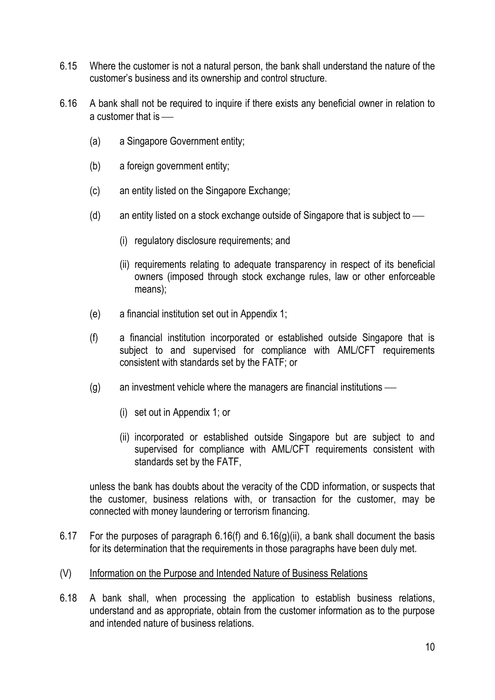- 6.15 Where the customer is not a natural person, the bank shall understand the nature of the customer's business and its ownership and control structure.
- 6.16 A bank shall not be required to inquire if there exists any beneficial owner in relation to a customer that is
	- (a) a Singapore Government entity;
	- (b) a foreign government entity;
	- (c) an entity listed on the Singapore Exchange;
	- (d) an entity listed on a stock exchange outside of Singapore that is subject to
		- (i) regulatory disclosure requirements; and
		- (ii) requirements relating to adequate transparency in respect of its beneficial owners (imposed through stock exchange rules, law or other enforceable means);
	- (e) a financial institution set out in Appendix 1;
	- (f) a financial institution incorporated or established outside Singapore that is subject to and supervised for compliance with AML/CFT requirements consistent with standards set by the FATF; or
	- (g) an investment vehicle where the managers are financial institutions
		- (i) set out in Appendix 1; or
		- (ii) incorporated or established outside Singapore but are subject to and supervised for compliance with AML/CFT requirements consistent with standards set by the FATF,

unless the bank has doubts about the veracity of the CDD information, or suspects that the customer, business relations with, or transaction for the customer, may be connected with money laundering or terrorism financing.

6.17 For the purposes of paragraph  $6.16(f)$  and  $6.16(g)(ii)$ , a bank shall document the basis for its determination that the requirements in those paragraphs have been duly met.

## (V) Information on the Purpose and Intended Nature of Business Relations

6.18 A bank shall, when processing the application to establish business relations, understand and as appropriate, obtain from the customer information as to the purpose and intended nature of business relations.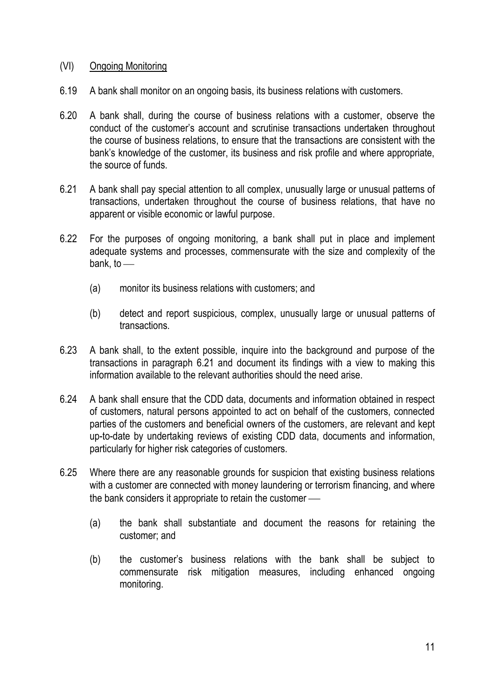## (VI) Ongoing Monitoring

- 6.19 A bank shall monitor on an ongoing basis, its business relations with customers.
- 6.20 A bank shall, during the course of business relations with a customer, observe the conduct of the customer's account and scrutinise transactions undertaken throughout the course of business relations, to ensure that the transactions are consistent with the bank's knowledge of the customer, its business and risk profile and where appropriate, the source of funds.
- 6.21 A bank shall pay special attention to all complex, unusually large or unusual patterns of transactions, undertaken throughout the course of business relations, that have no apparent or visible economic or lawful purpose.
- 6.22 For the purposes of ongoing monitoring, a bank shall put in place and implement adequate systems and processes, commensurate with the size and complexity of the bank, to
	- (a) monitor its business relations with customers; and
	- (b) detect and report suspicious, complex, unusually large or unusual patterns of transactions.
- 6.23 A bank shall, to the extent possible, inquire into the background and purpose of the transactions in paragraph 6.21 and document its findings with a view to making this information available to the relevant authorities should the need arise.
- 6.24 A bank shall ensure that the CDD data, documents and information obtained in respect of customers, natural persons appointed to act on behalf of the customers, connected parties of the customers and beneficial owners of the customers, are relevant and kept up-to-date by undertaking reviews of existing CDD data, documents and information, particularly for higher risk categories of customers.
- 6.25 Where there are any reasonable grounds for suspicion that existing business relations with a customer are connected with money laundering or terrorism financing, and where the bank considers it appropriate to retain the customer
	- (a) the bank shall substantiate and document the reasons for retaining the customer; and
	- (b) the customer's business relations with the bank shall be subject to commensurate risk mitigation measures, including enhanced ongoing monitoring.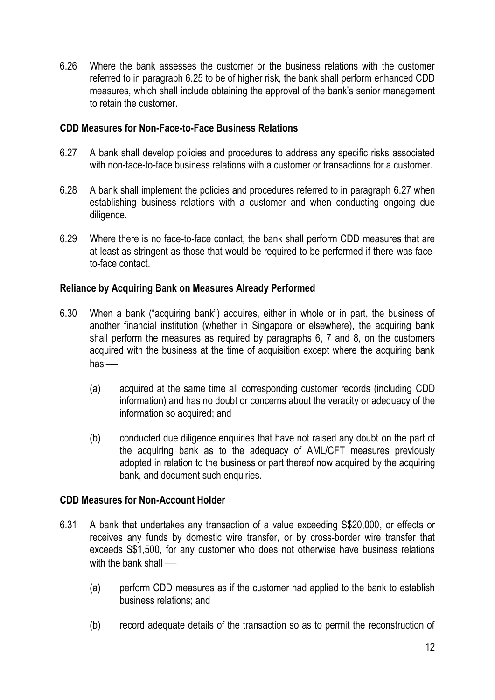6.26 Where the bank assesses the customer or the business relations with the customer referred to in paragraph 6.25 to be of higher risk, the bank shall perform enhanced CDD measures, which shall include obtaining the approval of the bank's senior management to retain the customer.

## **CDD Measures for Non-Face-to-Face Business Relations**

- 6.27 A bank shall develop policies and procedures to address any specific risks associated with non-face-to-face business relations with a customer or transactions for a customer.
- 6.28 A bank shall implement the policies and procedures referred to in paragraph 6.27 when establishing business relations with a customer and when conducting ongoing due diligence.
- 6.29 Where there is no face-to-face contact, the bank shall perform CDD measures that are at least as stringent as those that would be required to be performed if there was faceto-face contact.

## **Reliance by Acquiring Bank on Measures Already Performed**

- 6.30 When a bank ("acquiring bank") acquires, either in whole or in part, the business of another financial institution (whether in Singapore or elsewhere), the acquiring bank shall perform the measures as required by paragraphs 6, 7 and 8, on the customers acquired with the business at the time of acquisition except where the acquiring bank  $has$  —
	- (a) acquired at the same time all corresponding customer records (including CDD information) and has no doubt or concerns about the veracity or adequacy of the information so acquired; and
	- (b) conducted due diligence enquiries that have not raised any doubt on the part of the acquiring bank as to the adequacy of AML/CFT measures previously adopted in relation to the business or part thereof now acquired by the acquiring bank, and document such enquiries.

## **CDD Measures for Non-Account Holder**

- 6.31 A bank that undertakes any transaction of a value exceeding S\$20,000, or effects or receives any funds by domestic wire transfer, or by cross-border wire transfer that exceeds S\$1,500, for any customer who does not otherwise have business relations with the bank shall —
	- (a) perform CDD measures as if the customer had applied to the bank to establish business relations; and
	- (b) record adequate details of the transaction so as to permit the reconstruction of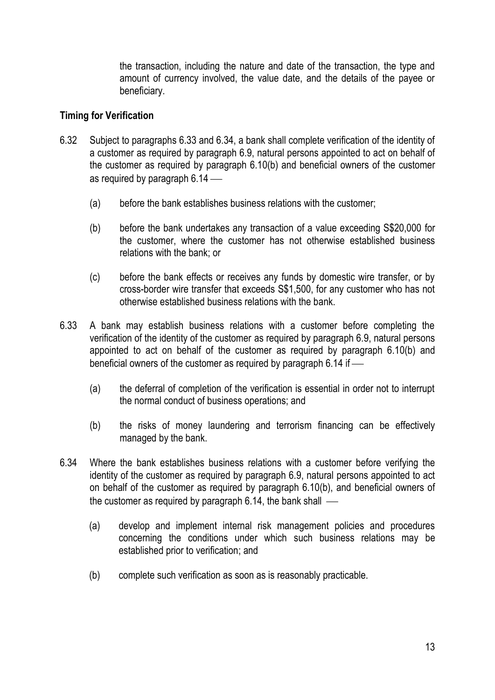the transaction, including the nature and date of the transaction, the type and amount of currency involved, the value date, and the details of the payee or beneficiary.

## **Timing for Verification**

- 6.32 Subject to paragraphs 6.33 and 6.34, a bank shall complete verification of the identity of a customer as required by paragraph 6.9, natural persons appointed to act on behalf of the customer as required by paragraph 6.10(b) and beneficial owners of the customer as required by paragraph 6.14 –
	- (a) before the bank establishes business relations with the customer;
	- (b) before the bank undertakes any transaction of a value exceeding S\$20,000 for the customer, where the customer has not otherwise established business relations with the bank; or
	- (c) before the bank effects or receives any funds by domestic wire transfer, or by cross-border wire transfer that exceeds S\$1,500, for any customer who has not otherwise established business relations with the bank.
- 6.33 A bank may establish business relations with a customer before completing the verification of the identity of the customer as required by paragraph 6.9, natural persons appointed to act on behalf of the customer as required by paragraph 6.10(b) and beneficial owners of the customer as required by paragraph 6.14 if
	- (a) the deferral of completion of the verification is essential in order not to interrupt the normal conduct of business operations; and
	- (b) the risks of money laundering and terrorism financing can be effectively managed by the bank.
- 6.34 Where the bank establishes business relations with a customer before verifying the identity of the customer as required by paragraph 6.9, natural persons appointed to act on behalf of the customer as required by paragraph 6.10(b), and beneficial owners of the customer as required by paragraph 6.14, the bank shall —
	- (a) develop and implement internal risk management policies and procedures concerning the conditions under which such business relations may be established prior to verification; and
	- (b) complete such verification as soon as is reasonably practicable.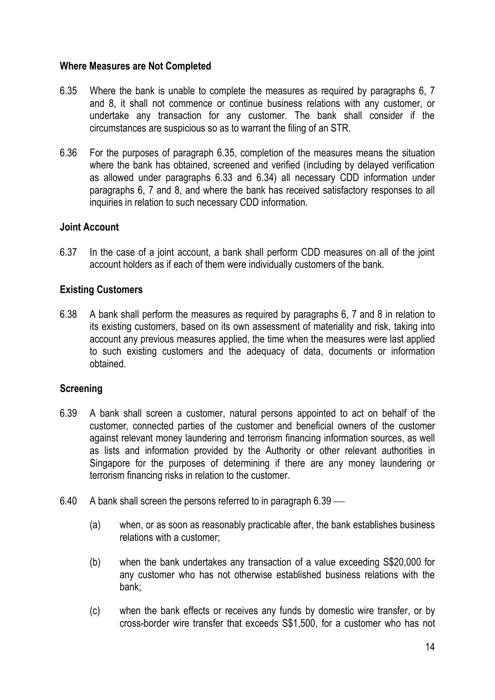## **Where Measures are Not Completed**

- 6.35 Where the bank is unable to complete the measures as required by paragraphs 6, 7 and 8, it shall not commence or continue business relations with any customer, or undertake any transaction for any customer. The bank shall consider if the circumstances are suspicious so as to warrant the filing of an STR.
- 6.36 For the purposes of paragraph 6.35, completion of the measures means the situation where the bank has obtained, screened and verified (including by delayed verification as allowed under paragraphs 6.33 and 6.34) all necessary CDD information under paragraphs 6, 7 and 8, and where the bank has received satisfactory responses to all inquiries in relation to such necessary CDD information.

## **Joint Account**

6.37 In the case of a joint account, a bank shall perform CDD measures on all of the joint account holders as if each of them were individually customers of the bank.

## **Existing Customers**

6.38 A bank shall perform the measures as required by paragraphs 6, 7 and 8 in relation to its existing customers, based on its own assessment of materiality and risk, taking into account any previous measures applied, the time when the measures were last applied to such existing customers and the adequacy of data, documents or information obtained.

## **Screening**

- 6.39 A bank shall screen a customer, natural persons appointed to act on behalf of the customer, connected parties of the customer and beneficial owners of the customer against relevant money laundering and terrorism financing information sources, as well as lists and information provided by the Authority or other relevant authorities in Singapore for the purposes of determining if there are any money laundering or terrorism financing risks in relation to the customer.
- 6.40 A bank shall screen the persons referred to in paragraph 6.39
	- (a) when, or as soon as reasonably practicable after, the bank establishes business relations with a customer;
	- (b) when the bank undertakes any transaction of a value exceeding S\$20,000 for any customer who has not otherwise established business relations with the bank;
	- (c) when the bank effects or receives any funds by domestic wire transfer, or by cross-border wire transfer that exceeds S\$1,500, for a customer who has not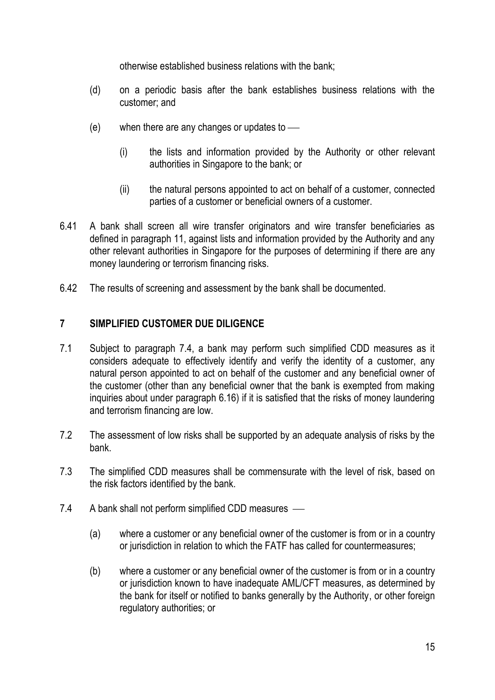otherwise established business relations with the bank;

- (d) on a periodic basis after the bank establishes business relations with the customer; and
- (e) when there are any changes or updates to
	- (i) the lists and information provided by the Authority or other relevant authorities in Singapore to the bank; or
	- (ii) the natural persons appointed to act on behalf of a customer, connected parties of a customer or beneficial owners of a customer.
- 6.41 A bank shall screen all wire transfer originators and wire transfer beneficiaries as defined in paragraph 11, against lists and information provided by the Authority and any other relevant authorities in Singapore for the purposes of determining if there are any money laundering or terrorism financing risks.
- 6.42 The results of screening and assessment by the bank shall be documented.

## **7 SIMPLIFIED CUSTOMER DUE DILIGENCE**

- 7.1 Subject to paragraph 7.4, a bank may perform such simplified CDD measures as it considers adequate to effectively identify and verify the identity of a customer, any natural person appointed to act on behalf of the customer and any beneficial owner of the customer (other than any beneficial owner that the bank is exempted from making inquiries about under paragraph 6.16) if it is satisfied that the risks of money laundering and terrorism financing are low.
- 7.2 The assessment of low risks shall be supported by an adequate analysis of risks by the bank.
- 7.3 The simplified CDD measures shall be commensurate with the level of risk, based on the risk factors identified by the bank.
- 7.4 A bank shall not perform simplified CDD measures
	- (a) where a customer or any beneficial owner of the customer is from or in a country or jurisdiction in relation to which the FATF has called for countermeasures;
	- (b) where a customer or any beneficial owner of the customer is from or in a country or jurisdiction known to have inadequate AML/CFT measures, as determined by the bank for itself or notified to banks generally by the Authority, or other foreign regulatory authorities; or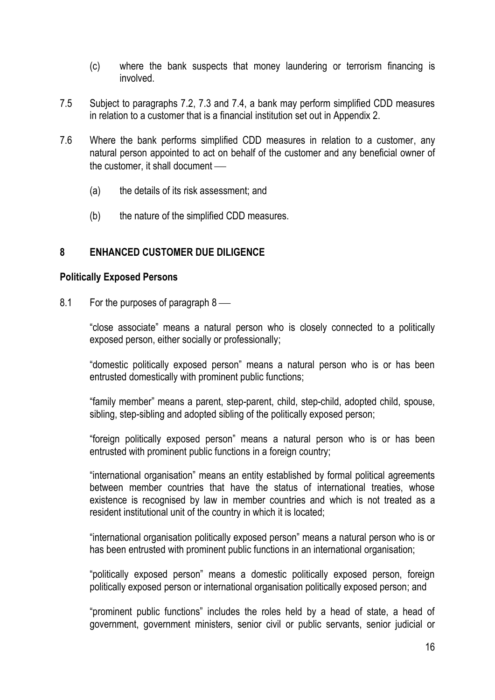- (c) where the bank suspects that money laundering or terrorism financing is involved.
- 7.5 Subject to paragraphs 7.2, 7.3 and 7.4, a bank may perform simplified CDD measures in relation to a customer that is a financial institution set out in Appendix 2.
- 7.6 Where the bank performs simplified CDD measures in relation to a customer, any natural person appointed to act on behalf of the customer and any beneficial owner of the customer, it shall document
	- (a) the details of its risk assessment; and
	- (b) the nature of the simplified CDD measures.

## **8 ENHANCED CUSTOMER DUE DILIGENCE**

#### **Politically Exposed Persons**

8.1 For the purposes of paragraph 8

"close associate" means a natural person who is closely connected to a politically exposed person, either socially or professionally;

"domestic politically exposed person" means a natural person who is or has been entrusted domestically with prominent public functions;

"family member" means a parent, step-parent, child, step-child, adopted child, spouse, sibling, step-sibling and adopted sibling of the politically exposed person;

"foreign politically exposed person" means a natural person who is or has been entrusted with prominent public functions in a foreign country;

"international organisation" means an entity established by formal political agreements between member countries that have the status of international treaties, whose existence is recognised by law in member countries and which is not treated as a resident institutional unit of the country in which it is located;

"international organisation politically exposed person" means a natural person who is or has been entrusted with prominent public functions in an international organisation;

"politically exposed person" means a domestic politically exposed person, foreign politically exposed person or international organisation politically exposed person; and

"prominent public functions" includes the roles held by a head of state, a head of government, government ministers, senior civil or public servants, senior judicial or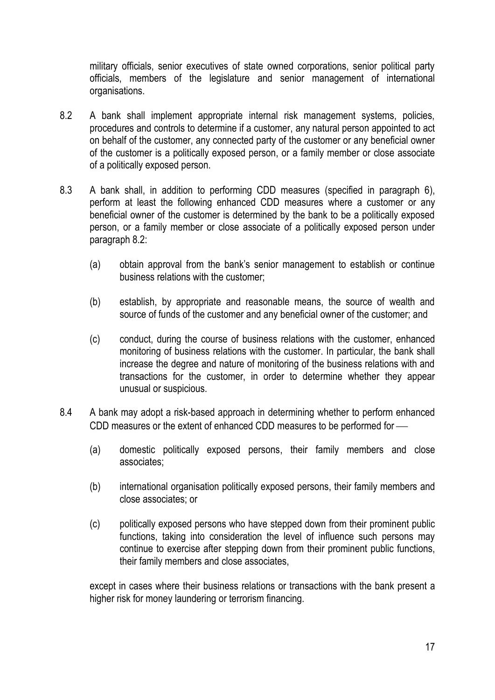military officials, senior executives of state owned corporations, senior political party officials, members of the legislature and senior management of international organisations.

- 8.2 A bank shall implement appropriate internal risk management systems, policies, procedures and controls to determine if a customer, any natural person appointed to act on behalf of the customer, any connected party of the customer or any beneficial owner of the customer is a politically exposed person, or a family member or close associate of a politically exposed person.
- 8.3 A bank shall, in addition to performing CDD measures (specified in paragraph 6), perform at least the following enhanced CDD measures where a customer or any beneficial owner of the customer is determined by the bank to be a politically exposed person, or a family member or close associate of a politically exposed person under paragraph 8.2:
	- (a) obtain approval from the bank's senior management to establish or continue business relations with the customer;
	- (b) establish, by appropriate and reasonable means, the source of wealth and source of funds of the customer and any beneficial owner of the customer; and
	- (c) conduct, during the course of business relations with the customer, enhanced monitoring of business relations with the customer. In particular, the bank shall increase the degree and nature of monitoring of the business relations with and transactions for the customer, in order to determine whether they appear unusual or suspicious.
- 8.4 A bank may adopt a risk-based approach in determining whether to perform enhanced CDD measures or the extent of enhanced CDD measures to be performed for
	- (a) domestic politically exposed persons, their family members and close associates;
	- (b) international organisation politically exposed persons, their family members and close associates; or
	- (c) politically exposed persons who have stepped down from their prominent public functions, taking into consideration the level of influence such persons may continue to exercise after stepping down from their prominent public functions, their family members and close associates,

except in cases where their business relations or transactions with the bank present a higher risk for money laundering or terrorism financing.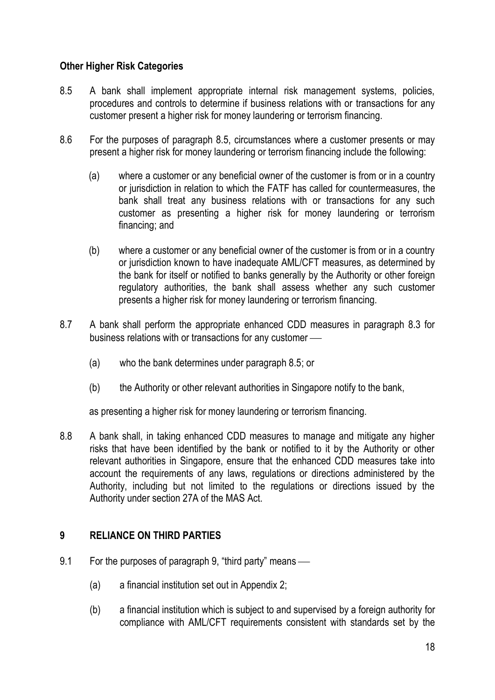## **Other Higher Risk Categories**

- 8.5 A bank shall implement appropriate internal risk management systems, policies, procedures and controls to determine if business relations with or transactions for any customer present a higher risk for money laundering or terrorism financing.
- 8.6 For the purposes of paragraph 8.5, circumstances where a customer presents or may present a higher risk for money laundering or terrorism financing include the following:
	- (a) where a customer or any beneficial owner of the customer is from or in a country or jurisdiction in relation to which the FATF has called for countermeasures, the bank shall treat any business relations with or transactions for any such customer as presenting a higher risk for money laundering or terrorism financing; and
	- (b) where a customer or any beneficial owner of the customer is from or in a country or jurisdiction known to have inadequate AML/CFT measures, as determined by the bank for itself or notified to banks generally by the Authority or other foreign regulatory authorities, the bank shall assess whether any such customer presents a higher risk for money laundering or terrorism financing.
- 8.7 A bank shall perform the appropriate enhanced CDD measures in paragraph 8.3 for business relations with or transactions for any customer
	- (a) who the bank determines under paragraph 8.5; or
	- (b) the Authority or other relevant authorities in Singapore notify to the bank,

as presenting a higher risk for money laundering or terrorism financing.

8.8 A bank shall, in taking enhanced CDD measures to manage and mitigate any higher risks that have been identified by the bank or notified to it by the Authority or other relevant authorities in Singapore, ensure that the enhanced CDD measures take into account the requirements of any laws, regulations or directions administered by the Authority, including but not limited to the regulations or directions issued by the Authority under section 27A of the MAS Act.

## **9 RELIANCE ON THIRD PARTIES**

- 9.1 For the purposes of paragraph 9, "third party" means
	- (a) a financial institution set out in Appendix 2;
	- (b) a financial institution which is subject to and supervised by a foreign authority for compliance with AML/CFT requirements consistent with standards set by the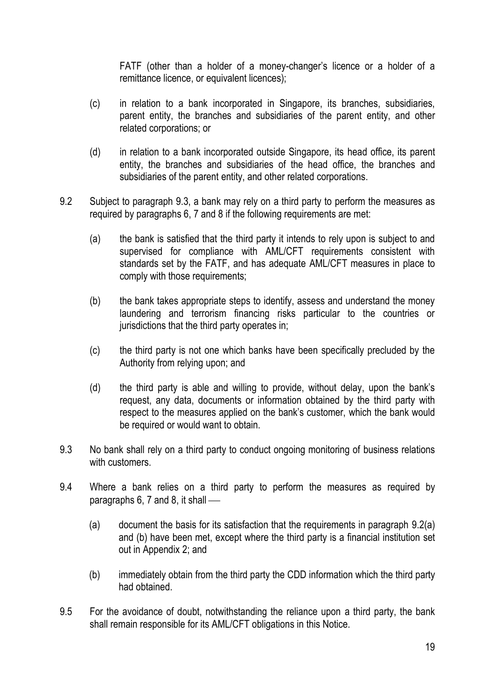FATF (other than a holder of a money-changer's licence or a holder of a remittance licence, or equivalent licences);

- (c) in relation to a bank incorporated in Singapore, its branches, subsidiaries, parent entity, the branches and subsidiaries of the parent entity, and other related corporations; or
- (d) in relation to a bank incorporated outside Singapore, its head office, its parent entity, the branches and subsidiaries of the head office, the branches and subsidiaries of the parent entity, and other related corporations.
- 9.2 Subject to paragraph 9.3, a bank may rely on a third party to perform the measures as required by paragraphs 6, 7 and 8 if the following requirements are met:
	- (a) the bank is satisfied that the third party it intends to rely upon is subject to and supervised for compliance with AML/CFT requirements consistent with standards set by the FATF, and has adequate AML/CFT measures in place to comply with those requirements;
	- (b) the bank takes appropriate steps to identify, assess and understand the money laundering and terrorism financing risks particular to the countries or jurisdictions that the third party operates in:
	- (c) the third party is not one which banks have been specifically precluded by the Authority from relying upon; and
	- (d) the third party is able and willing to provide, without delay, upon the bank's request, any data, documents or information obtained by the third party with respect to the measures applied on the bank's customer, which the bank would be required or would want to obtain.
- 9.3 No bank shall rely on a third party to conduct ongoing monitoring of business relations with customers.
- 9.4 Where a bank relies on a third party to perform the measures as required by paragraphs 6, 7 and 8, it shall
	- (a) document the basis for its satisfaction that the requirements in paragraph 9.2(a) and (b) have been met, except where the third party is a financial institution set out in Appendix 2; and
	- (b) immediately obtain from the third party the CDD information which the third party had obtained.
- 9.5 For the avoidance of doubt, notwithstanding the reliance upon a third party, the bank shall remain responsible for its AML/CFT obligations in this Notice.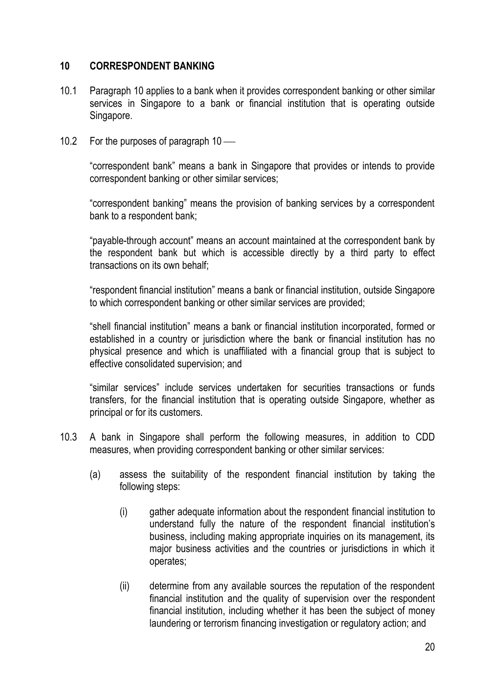## **10 CORRESPONDENT BANKING**

- 10.1 Paragraph 10 applies to a bank when it provides correspondent banking or other similar services in Singapore to a bank or financial institution that is operating outside Singapore.
- 10.2 For the purposes of paragraph 10 —

"correspondent bank" means a bank in Singapore that provides or intends to provide correspondent banking or other similar services;

"correspondent banking" means the provision of banking services by a correspondent bank to a respondent bank;

"payable-through account" means an account maintained at the correspondent bank by the respondent bank but which is accessible directly by a third party to effect transactions on its own behalf;

"respondent financial institution" means a bank or financial institution, outside Singapore to which correspondent banking or other similar services are provided;

"shell financial institution" means a bank or financial institution incorporated, formed or established in a country or jurisdiction where the bank or financial institution has no physical presence and which is unaffiliated with a financial group that is subject to effective consolidated supervision; and

"similar services" include services undertaken for securities transactions or funds transfers, for the financial institution that is operating outside Singapore, whether as principal or for its customers.

- 10.3 A bank in Singapore shall perform the following measures, in addition to CDD measures, when providing correspondent banking or other similar services:
	- (a) assess the suitability of the respondent financial institution by taking the following steps:
		- (i) gather adequate information about the respondent financial institution to understand fully the nature of the respondent financial institution's business, including making appropriate inquiries on its management, its major business activities and the countries or jurisdictions in which it operates;
		- (ii) determine from any available sources the reputation of the respondent financial institution and the quality of supervision over the respondent financial institution, including whether it has been the subject of money laundering or terrorism financing investigation or regulatory action; and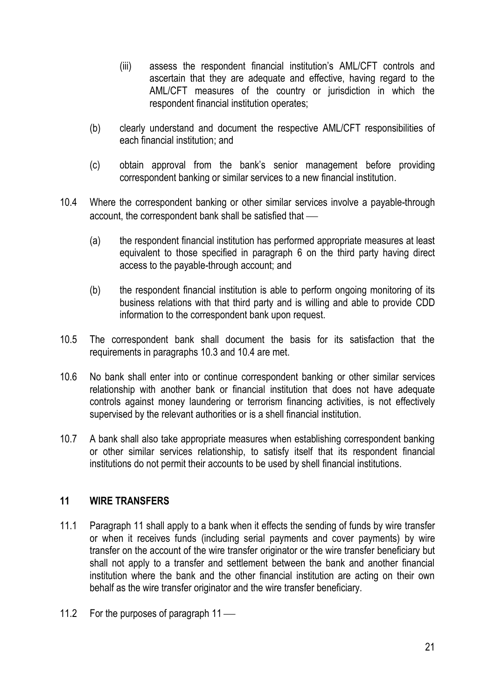- (iii) assess the respondent financial institution's AML/CFT controls and ascertain that they are adequate and effective, having regard to the AML/CFT measures of the country or jurisdiction in which the respondent financial institution operates;
- (b) clearly understand and document the respective AML/CFT responsibilities of each financial institution; and
- (c) obtain approval from the bank's senior management before providing correspondent banking or similar services to a new financial institution.
- 10.4 Where the correspondent banking or other similar services involve a payable-through account, the correspondent bank shall be satisfied that
	- (a) the respondent financial institution has performed appropriate measures at least equivalent to those specified in paragraph 6 on the third party having direct access to the payable-through account; and
	- (b) the respondent financial institution is able to perform ongoing monitoring of its business relations with that third party and is willing and able to provide CDD information to the correspondent bank upon request.
- 10.5 The correspondent bank shall document the basis for its satisfaction that the requirements in paragraphs 10.3 and 10.4 are met.
- 10.6 No bank shall enter into or continue correspondent banking or other similar services relationship with another bank or financial institution that does not have adequate controls against money laundering or terrorism financing activities, is not effectively supervised by the relevant authorities or is a shell financial institution.
- 10.7 A bank shall also take appropriate measures when establishing correspondent banking or other similar services relationship, to satisfy itself that its respondent financial institutions do not permit their accounts to be used by shell financial institutions.

## **11 WIRE TRANSFERS**

- 11.1 Paragraph 11 shall apply to a bank when it effects the sending of funds by wire transfer or when it receives funds (including serial payments and cover payments) by wire transfer on the account of the wire transfer originator or the wire transfer beneficiary but shall not apply to a transfer and settlement between the bank and another financial institution where the bank and the other financial institution are acting on their own behalf as the wire transfer originator and the wire transfer beneficiary.
- 11.2 For the purposes of paragraph 11 —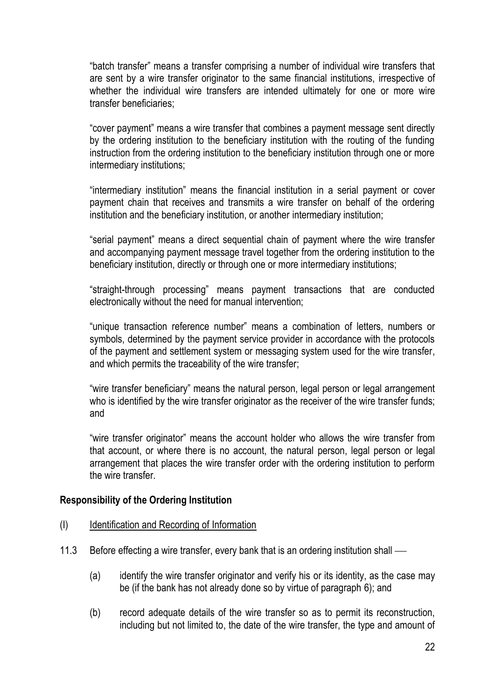"batch transfer" means a transfer comprising a number of individual wire transfers that are sent by a wire transfer originator to the same financial institutions, irrespective of whether the individual wire transfers are intended ultimately for one or more wire transfer beneficiaries;

"cover payment" means a wire transfer that combines a payment message sent directly by the ordering institution to the beneficiary institution with the routing of the funding instruction from the ordering institution to the beneficiary institution through one or more intermediary institutions;

"intermediary institution" means the financial institution in a serial payment or cover payment chain that receives and transmits a wire transfer on behalf of the ordering institution and the beneficiary institution, or another intermediary institution;

"serial payment" means a direct sequential chain of payment where the wire transfer and accompanying payment message travel together from the ordering institution to the beneficiary institution, directly or through one or more intermediary institutions;

"straight-through processing" means payment transactions that are conducted electronically without the need for manual intervention;

"unique transaction reference number" means a combination of letters, numbers or symbols, determined by the payment service provider in accordance with the protocols of the payment and settlement system or messaging system used for the wire transfer, and which permits the traceability of the wire transfer;

"wire transfer beneficiary" means the natural person, legal person or legal arrangement who is identified by the wire transfer originator as the receiver of the wire transfer funds; and

"wire transfer originator" means the account holder who allows the wire transfer from that account, or where there is no account, the natural person, legal person or legal arrangement that places the wire transfer order with the ordering institution to perform the wire transfer.

#### **Responsibility of the Ordering Institution**

- (I) Identification and Recording of Information
- 11.3 Before effecting a wire transfer, every bank that is an ordering institution shall
	- (a) identify the wire transfer originator and verify his or its identity, as the case may be (if the bank has not already done so by virtue of paragraph 6); and
	- (b) record adequate details of the wire transfer so as to permit its reconstruction, including but not limited to, the date of the wire transfer, the type and amount of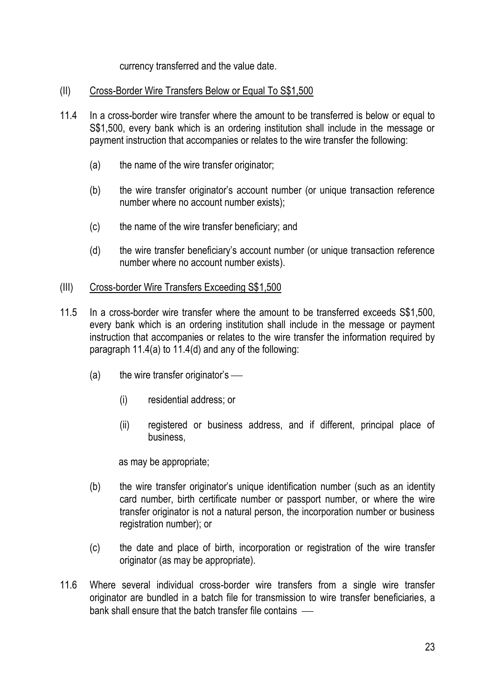currency transferred and the value date.

## (II) Cross-Border Wire Transfers Below or Equal To S\$1,500

- 11.4 In a cross-border wire transfer where the amount to be transferred is below or equal to S\$1,500, every bank which is an ordering institution shall include in the message or payment instruction that accompanies or relates to the wire transfer the following:
	- (a) the name of the wire transfer originator;
	- (b) the wire transfer originator's account number (or unique transaction reference number where no account number exists);
	- (c) the name of the wire transfer beneficiary; and
	- (d) the wire transfer beneficiary's account number (or unique transaction reference number where no account number exists).

## (III) Cross-border Wire Transfers Exceeding S\$1,500

- 11.5 In a cross-border wire transfer where the amount to be transferred exceeds S\$1,500, every bank which is an ordering institution shall include in the message or payment instruction that accompanies or relates to the wire transfer the information required by paragraph 11.4(a) to 11.4(d) and any of the following:
	- $(a)$  the wire transfer originator's
		- (i) residential address; or
		- (ii) registered or business address, and if different, principal place of business,

as may be appropriate;

- (b) the wire transfer originator's unique identification number (such as an identity card number, birth certificate number or passport number, or where the wire transfer originator is not a natural person, the incorporation number or business registration number); or
- (c) the date and place of birth, incorporation or registration of the wire transfer originator (as may be appropriate).
- 11.6 Where several individual cross-border wire transfers from a single wire transfer originator are bundled in a batch file for transmission to wire transfer beneficiaries, a bank shall ensure that the batch transfer file contains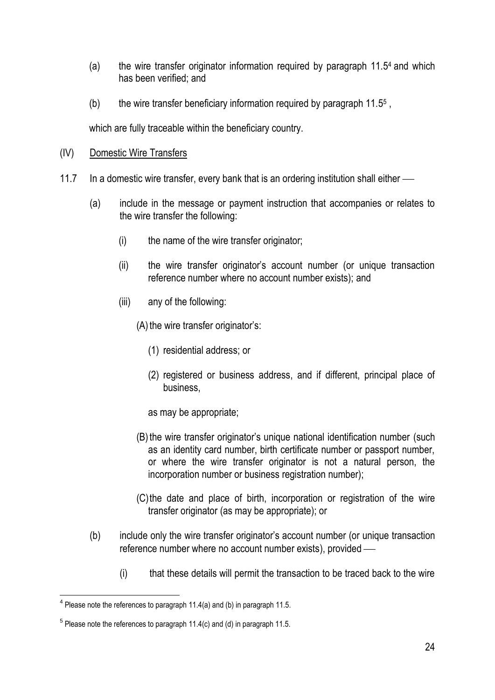- (a) the wire transfer originator information required by paragraph 11.5 <sup>4</sup> and which has been verified; and
- (b) the wire transfer beneficiary information required by paragraph  $11.5<sup>5</sup>$ ,

which are fully traceable within the beneficiary country.

- (IV) Domestic Wire Transfers
- 11.7 In a domestic wire transfer, every bank that is an ordering institution shall either
	- (a) include in the message or payment instruction that accompanies or relates to the wire transfer the following:
		- (i) the name of the wire transfer originator;
		- (ii) the wire transfer originator's account number (or unique transaction reference number where no account number exists); and
		- (iii) any of the following:
			- $(A)$  the wire transfer originator's:
				- (1) residential address; or
				- (2) registered or business address, and if different, principal place of business,
				- as may be appropriate;
			- (B) the wire transfer originator's unique national identification number (such as an identity card number, birth certificate number or passport number, or where the wire transfer originator is not a natural person, the incorporation number or business registration number);
			- (C)the date and place of birth, incorporation or registration of the wire transfer originator (as may be appropriate); or
	- (b) include only the wire transfer originator's account number (or unique transaction reference number where no account number exists), provided
		- (i) that these details will permit the transaction to be traced back to the wire

 4 Please note the references to paragraph 11.4(a) and (b) in paragraph 11.5.

 $5$  Please note the references to paragraph 11.4(c) and (d) in paragraph 11.5.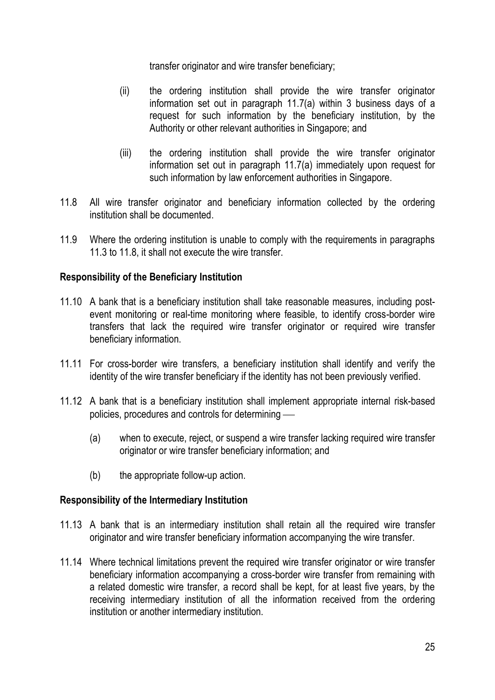transfer originator and wire transfer beneficiary;

- (ii) the ordering institution shall provide the wire transfer originator information set out in paragraph 11.7(a) within 3 business days of a request for such information by the beneficiary institution, by the Authority or other relevant authorities in Singapore; and
- (iii) the ordering institution shall provide the wire transfer originator information set out in paragraph 11.7(a) immediately upon request for such information by law enforcement authorities in Singapore.
- 11.8 All wire transfer originator and beneficiary information collected by the ordering institution shall be documented.
- 11.9 Where the ordering institution is unable to comply with the requirements in paragraphs 11.3 to 11.8, it shall not execute the wire transfer.

## **Responsibility of the Beneficiary Institution**

- 11.10 A bank that is a beneficiary institution shall take reasonable measures, including postevent monitoring or real-time monitoring where feasible, to identify cross-border wire transfers that lack the required wire transfer originator or required wire transfer beneficiary information.
- 11.11 For cross-border wire transfers, a beneficiary institution shall identify and verify the identity of the wire transfer beneficiary if the identity has not been previously verified.
- 11.12 A bank that is a beneficiary institution shall implement appropriate internal risk-based policies, procedures and controls for determining
	- (a) when to execute, reject, or suspend a wire transfer lacking required wire transfer originator or wire transfer beneficiary information; and
	- (b) the appropriate follow-up action.

## **Responsibility of the Intermediary Institution**

- 11.13 A bank that is an intermediary institution shall retain all the required wire transfer originator and wire transfer beneficiary information accompanying the wire transfer.
- 11.14 Where technical limitations prevent the required wire transfer originator or wire transfer beneficiary information accompanying a cross-border wire transfer from remaining with a related domestic wire transfer, a record shall be kept, for at least five years, by the receiving intermediary institution of all the information received from the ordering institution or another intermediary institution.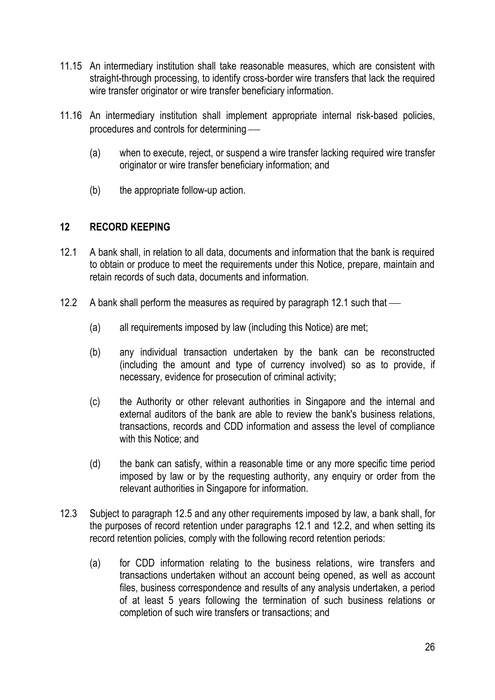- 11.15 An intermediary institution shall take reasonable measures, which are consistent with straight-through processing, to identify cross-border wire transfers that lack the required wire transfer originator or wire transfer beneficiary information.
- 11.16 An intermediary institution shall implement appropriate internal risk-based policies, procedures and controls for determining
	- (a) when to execute, reject, or suspend a wire transfer lacking required wire transfer originator or wire transfer beneficiary information; and
	- (b) the appropriate follow-up action.

## **12 RECORD KEEPING**

- 12.1 A bank shall, in relation to all data, documents and information that the bank is required to obtain or produce to meet the requirements under this Notice, prepare, maintain and retain records of such data, documents and information.
- 12.2 A bank shall perform the measures as required by paragraph 12.1 such that
	- (a) all requirements imposed by law (including this Notice) are met;
	- (b) any individual transaction undertaken by the bank can be reconstructed (including the amount and type of currency involved) so as to provide, if necessary, evidence for prosecution of criminal activity;
	- (c) the Authority or other relevant authorities in Singapore and the internal and external auditors of the bank are able to review the bank's business relations, transactions, records and CDD information and assess the level of compliance with this Notice; and
	- (d) the bank can satisfy, within a reasonable time or any more specific time period imposed by law or by the requesting authority, any enquiry or order from the relevant authorities in Singapore for information.
- 12.3 Subject to paragraph 12.5 and any other requirements imposed by law, a bank shall, for the purposes of record retention under paragraphs 12.1 and 12.2, and when setting its record retention policies, comply with the following record retention periods:
	- (a) for CDD information relating to the business relations, wire transfers and transactions undertaken without an account being opened, as well as account files, business correspondence and results of any analysis undertaken, a period of at least 5 years following the termination of such business relations or completion of such wire transfers or transactions; and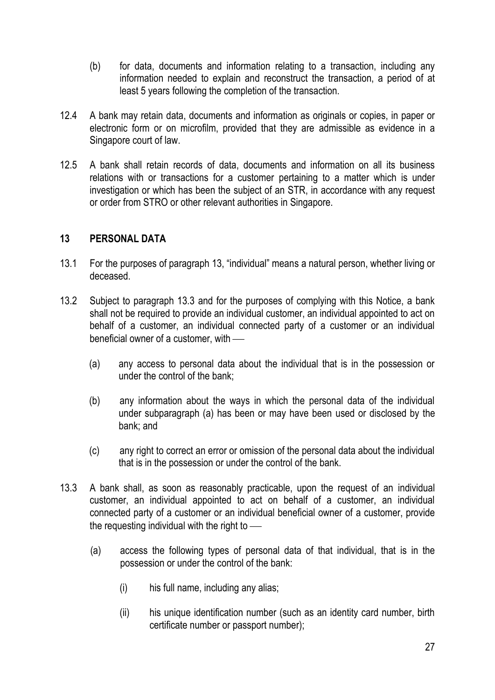- (b) for data, documents and information relating to a transaction, including any information needed to explain and reconstruct the transaction, a period of at least 5 years following the completion of the transaction.
- 12.4 A bank may retain data, documents and information as originals or copies, in paper or electronic form or on microfilm, provided that they are admissible as evidence in a Singapore court of law.
- 12.5 A bank shall retain records of data, documents and information on all its business relations with or transactions for a customer pertaining to a matter which is under investigation or which has been the subject of an STR, in accordance with any request or order from STRO or other relevant authorities in Singapore.

## **13 PERSONAL DATA**

- 13.1 For the purposes of paragraph 13, "individual" means a natural person, whether living or deceased.
- 13.2 Subject to paragraph 13.3 and for the purposes of complying with this Notice, a bank shall not be required to provide an individual customer, an individual appointed to act on behalf of a customer, an individual connected party of a customer or an individual beneficial owner of a customer, with
	- (a) any access to personal data about the individual that is in the possession or under the control of the bank;
	- (b) any information about the ways in which the personal data of the individual under subparagraph (a) has been or may have been used or disclosed by the bank; and
	- (c) any right to correct an error or omission of the personal data about the individual that is in the possession or under the control of the bank.
- 13.3 A bank shall, as soon as reasonably practicable, upon the request of an individual customer, an individual appointed to act on behalf of a customer, an individual connected party of a customer or an individual beneficial owner of a customer, provide the requesting individual with the right to
	- (a) access the following types of personal data of that individual, that is in the possession or under the control of the bank:
		- (i) his full name, including any alias;
		- (ii) his unique identification number (such as an identity card number, birth certificate number or passport number);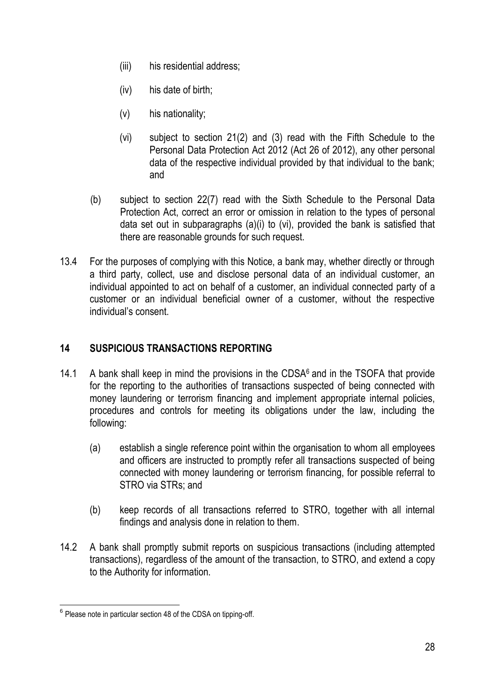- (iii) his residential address;
- (iv) his date of birth;
- (v) his nationality;
- (vi) subject to section 21(2) and (3) read with the Fifth Schedule to the Personal Data Protection Act 2012 (Act 26 of 2012), any other personal data of the respective individual provided by that individual to the bank; and
- (b) subject to section 22(7) read with the Sixth Schedule to the Personal Data Protection Act, correct an error or omission in relation to the types of personal data set out in subparagraphs (a)(i) to (vi), provided the bank is satisfied that there are reasonable grounds for such request.
- 13.4 For the purposes of complying with this Notice, a bank may, whether directly or through a third party, collect, use and disclose personal data of an individual customer, an individual appointed to act on behalf of a customer, an individual connected party of a customer or an individual beneficial owner of a customer, without the respective individual's consent.

## **14 SUSPICIOUS TRANSACTIONS REPORTING**

- 14.1 A bank shall keep in mind the provisions in the CDSA $6$  and in the TSOFA that provide for the reporting to the authorities of transactions suspected of being connected with money laundering or terrorism financing and implement appropriate internal policies, procedures and controls for meeting its obligations under the law, including the following:
	- (a) establish a single reference point within the organisation to whom all employees and officers are instructed to promptly refer all transactions suspected of being connected with money laundering or terrorism financing, for possible referral to STRO via STRs; and
	- (b) keep records of all transactions referred to STRO, together with all internal findings and analysis done in relation to them.
- 14.2 A bank shall promptly submit reports on suspicious transactions (including attempted transactions), regardless of the amount of the transaction, to STRO, and extend a copy to the Authority for information.

<sup>1</sup>  $6$  Please note in particular section 48 of the CDSA on tipping-off.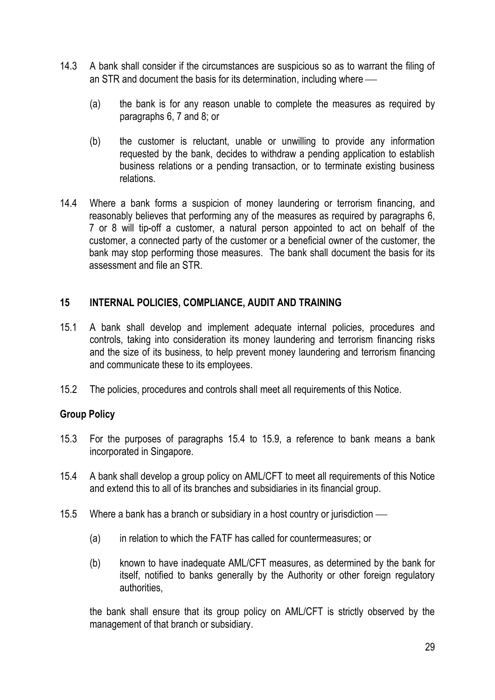- 14.3 A bank shall consider if the circumstances are suspicious so as to warrant the filing of an STR and document the basis for its determination, including where
	- (a) the bank is for any reason unable to complete the measures as required by paragraphs 6, 7 and 8; or
	- (b) the customer is reluctant, unable or unwilling to provide any information requested by the bank, decides to withdraw a pending application to establish business relations or a pending transaction, or to terminate existing business relations.
- 14.4 Where a bank forms a suspicion of money laundering or terrorism financing, and reasonably believes that performing any of the measures as required by paragraphs 6, 7 or 8 will tip-off a customer, a natural person appointed to act on behalf of the customer, a connected party of the customer or a beneficial owner of the customer, the bank may stop performing those measures. The bank shall document the basis for its assessment and file an STR.

## **15 INTERNAL POLICIES, COMPLIANCE, AUDIT AND TRAINING**

- 15.1 A bank shall develop and implement adequate internal policies, procedures and controls, taking into consideration its money laundering and terrorism financing risks and the size of its business, to help prevent money laundering and terrorism financing and communicate these to its employees.
- 15.2 The policies, procedures and controls shall meet all requirements of this Notice.

## **Group Policy**

- 15.3 For the purposes of paragraphs 15.4 to 15.9, a reference to bank means a bank incorporated in Singapore.
- 15.4 A bank shall develop a group policy on AML/CFT to meet all requirements of this Notice and extend this to all of its branches and subsidiaries in its financial group.
- 15.5 Where a bank has a branch or subsidiary in a host country or jurisdiction
	- (a) in relation to which the FATF has called for countermeasures; or
	- (b) known to have inadequate AML/CFT measures, as determined by the bank for itself, notified to banks generally by the Authority or other foreign regulatory authorities,

the bank shall ensure that its group policy on AML/CFT is strictly observed by the management of that branch or subsidiary.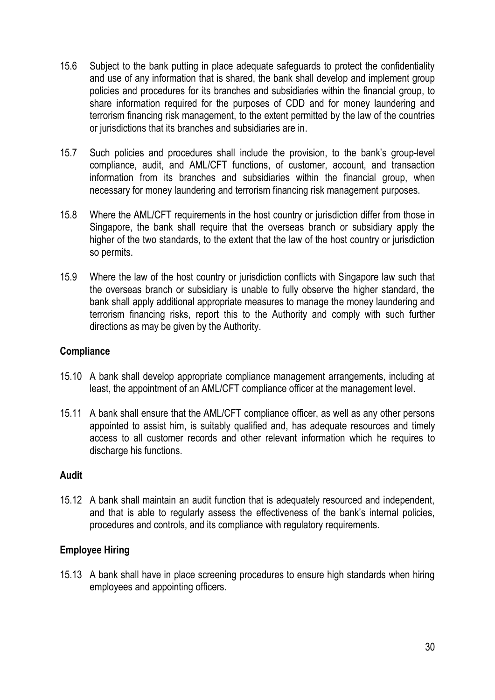- 15.6 Subject to the bank putting in place adequate safeguards to protect the confidentiality and use of any information that is shared, the bank shall develop and implement group policies and procedures for its branches and subsidiaries within the financial group, to share information required for the purposes of CDD and for money laundering and terrorism financing risk management, to the extent permitted by the law of the countries or jurisdictions that its branches and subsidiaries are in.
- 15.7 Such policies and procedures shall include the provision, to the bank's group-level compliance, audit, and AML/CFT functions, of customer, account, and transaction information from its branches and subsidiaries within the financial group, when necessary for money laundering and terrorism financing risk management purposes.
- 15.8 Where the AML/CFT requirements in the host country or jurisdiction differ from those in Singapore, the bank shall require that the overseas branch or subsidiary apply the higher of the two standards, to the extent that the law of the host country or jurisdiction so permits.
- 15.9 Where the law of the host country or jurisdiction conflicts with Singapore law such that the overseas branch or subsidiary is unable to fully observe the higher standard, the bank shall apply additional appropriate measures to manage the money laundering and terrorism financing risks, report this to the Authority and comply with such further directions as may be given by the Authority.

## **Compliance**

- 15.10 A bank shall develop appropriate compliance management arrangements, including at least, the appointment of an AML/CFT compliance officer at the management level.
- 15.11 A bank shall ensure that the AML/CFT compliance officer, as well as any other persons appointed to assist him, is suitably qualified and, has adequate resources and timely access to all customer records and other relevant information which he requires to discharge his functions.

## **Audit**

15.12 A bank shall maintain an audit function that is adequately resourced and independent, and that is able to regularly assess the effectiveness of the bank's internal policies, procedures and controls, and its compliance with regulatory requirements.

## **Employee Hiring**

15.13 A bank shall have in place screening procedures to ensure high standards when hiring employees and appointing officers.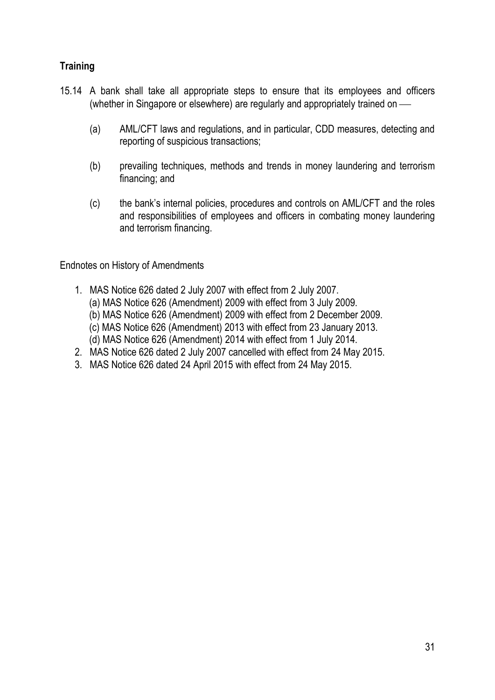# **Training**

- 15.14 A bank shall take all appropriate steps to ensure that its employees and officers (whether in Singapore or elsewhere) are regularly and appropriately trained on
	- (a) AML/CFT laws and regulations, and in particular, CDD measures, detecting and reporting of suspicious transactions;
	- (b) prevailing techniques, methods and trends in money laundering and terrorism financing; and
	- (c) the bank's internal policies, procedures and controls on AML/CFT and the roles and responsibilities of employees and officers in combating money laundering and terrorism financing.

Endnotes on History of Amendments

- 1. MAS Notice 626 dated 2 July 2007 with effect from 2 July 2007. (a) MAS Notice 626 (Amendment) 2009 with effect from 3 July 2009. (b) MAS Notice 626 (Amendment) 2009 with effect from 2 December 2009. (c) MAS Notice 626 (Amendment) 2013 with effect from 23 January 2013. (d) MAS Notice 626 (Amendment) 2014 with effect from 1 July 2014.
- 2. MAS Notice 626 dated 2 July 2007 cancelled with effect from 24 May 2015.
- 3. MAS Notice 626 dated 24 April 2015 with effect from 24 May 2015.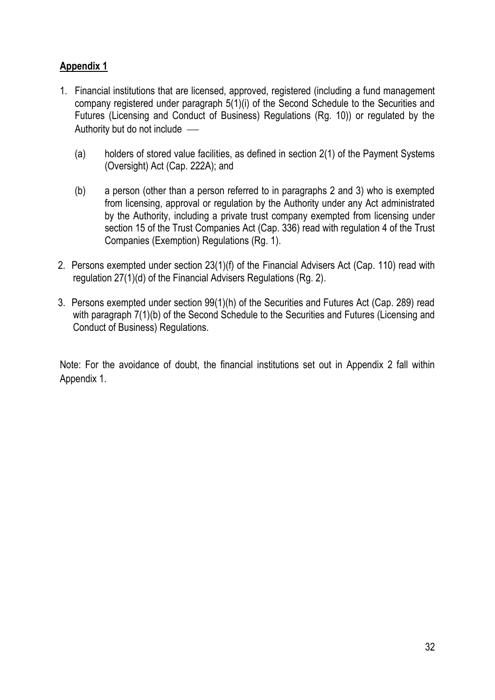## **Appendix 1**

- 1. Financial institutions that are licensed, approved, registered (including a fund management company registered under paragraph 5(1)(i) of the Second Schedule to the Securities and Futures (Licensing and Conduct of Business) Regulations (Rg. 10)) or regulated by the Authority but do not include
	- (a) holders of stored value facilities, as defined in section 2(1) of the Payment Systems (Oversight) Act (Cap. 222A); and
	- (b) a person (other than a person referred to in paragraphs 2 and 3) who is exempted from licensing, approval or regulation by the Authority under any Act administrated by the Authority, including a private trust company exempted from licensing under section 15 of the Trust Companies Act (Cap. 336) read with regulation 4 of the Trust Companies (Exemption) Regulations (Rg. 1).
- 2. Persons exempted under section 23(1)(f) of the Financial Advisers Act (Cap. 110) read with regulation 27(1)(d) of the Financial Advisers Regulations (Rg. 2).
- 3. Persons exempted under section 99(1)(h) of the Securities and Futures Act (Cap. 289) read with paragraph 7(1)(b) of the Second Schedule to the Securities and Futures (Licensing and Conduct of Business) Regulations.

Note: For the avoidance of doubt, the financial institutions set out in Appendix 2 fall within Appendix 1.